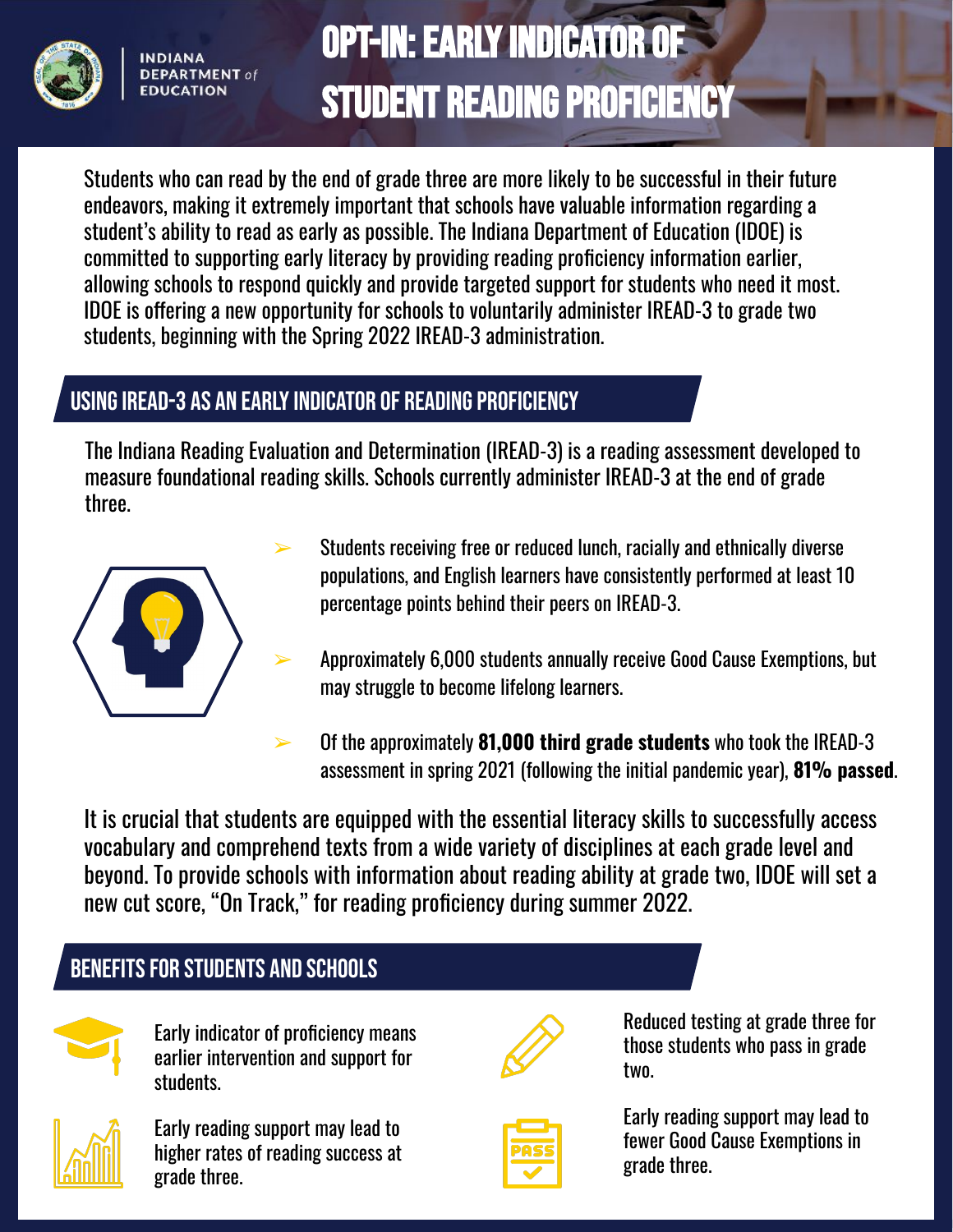

**INDIANA DEPARTMENT of FDUCATION** 

# Opt-In: Early Indicator of Student Reading Proficiency

Students who can read by the end of grade three are more likely to be successful in their future endeavors, making it extremely important that schools have valuable information regarding a student's ability to read as early as possible. The Indiana Department of Education (IDOE) is committed to supporting early literacy by providing reading proficiency information earlier, allowing schools to respond quickly and provide targeted support for students who need it most. IDOE is offering a new opportunity for schools to voluntarily administer IREAD-3 to grade two students, beginning with the Spring 2022 IREAD-3 administration.

## Using IREAD-3 as an Early Indicator of Reading Proficiency

The Indiana Reading Evaluation and Determination (IREAD-3) is a reading assessment developed to measure foundational reading skills. Schools currently administer IREAD-3 at the end of grade three.



- Students receiving free or reduced lunch, racially and ethnically diverse populations, and English learners have consistently performed at least 10 percentage points behind their peers on IREAD-3.
- ➢ Approximately 6,000 students annually receive Good Cause Exemptions, but may struggle to become lifelong learners.
- ➢ Of the approximately **81,000 third grade students** who took the IREAD-3 assessment in spring 2021 (following the initial pandemic year), **81% passed**.

It is crucial that students are equipped with the essential literacy skills to successfully access vocabulary and comprehend texts from a wide variety of disciplines at each grade level and beyond. To provide schools with information about reading ability at grade two, IDOE will set a new cut score, "On Track," for reading proficiency during summer 2022.

## Benefits for Students and Schools



Early indicator of proficiency means earlier intervention and support for students.



Early reading support may lead to higher rates of reading success at grade three.



Reduced testing at grade three for those students who pass in grade two.



Early reading support may lead to fewer Good Cause Exemptions in grade three.